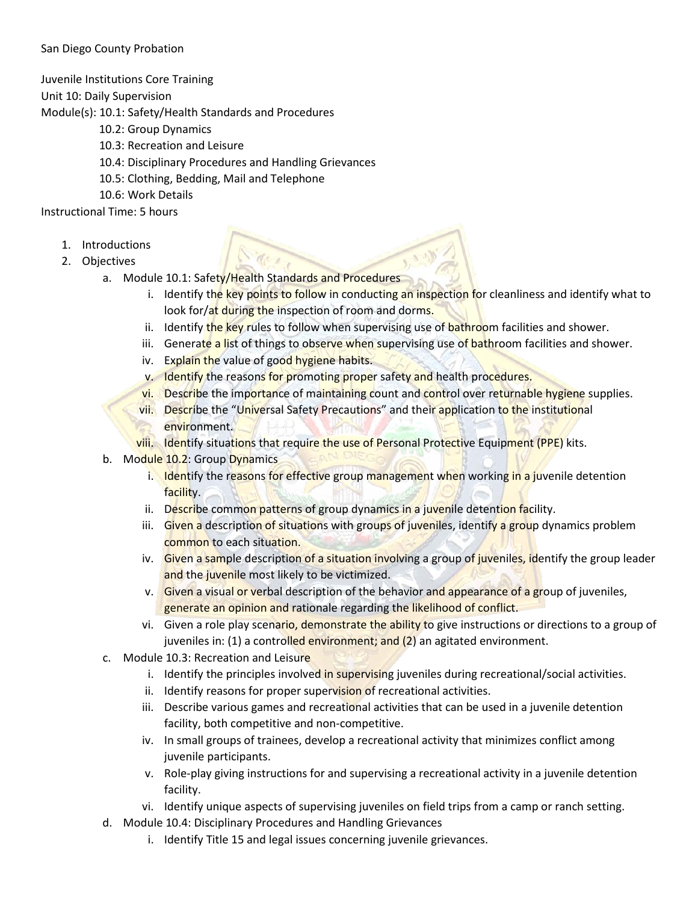## San Diego County Probation

Juvenile Institutions Core Training

Unit 10: Daily Supervision

Module(s): 10.1: Safety/Health Standards and Procedures

- 10.2: Group Dynamics
- 10.3: Recreation and Leisure
- 10.4: Disciplinary Procedures and Handling Grievances
- 10.5: Clothing, Bedding, Mail and Telephone
- 10.6: Work Details

Instructional Time: 5 hours

- 1. Introductions
- 2. Objectives
	- a. Module 10.1: Safety/Health Standards and Procedures
		- i. Identify the key points to follow in conducting an inspection for cleanliness and identify what to look for/at during the inspection of room and dorms.
		- ii. Identify the key rules to follow when supervising use of bathroom facilities and shower.
		- iii. Generate a list of things to observe when supervising use of bathroom facilities and shower.
		- iv. Explain the value of good hygiene habits.
		- v. Identify the reasons for promoting proper safety and health procedures.
		- vi. Describe the importance of maintaining count and control over returnable hygiene supplies.
		- vii. Describe the "Universal Safety Precautions" and their application to the institutional environment.
		- viii. Identify situations that require the use of Personal Protective Equipment (PPE) kits.
	- b. Module 10.2: Group Dynamics
		- i. Identify the reasons for effective group management when working in a juvenile detention facility.
		- ii. Describe common patterns of group dynamics in a juvenile detention facility.
		- iii. Given a description of situations with groups of juveniles, identify a group dynamics problem common to each situation.
		- iv. Given a sample description of a situation involving a group of juveniles, identify the group leader and the juvenile most likely to be victimized.
		- v. Given a visual or verbal description of the behavior and appearance of a group of juveniles, generate an opinion and rationale regarding the likelihood of conflict.
		- vi. Given a role play scenario, demonstrate the ability to give instructions or directions to a group of juveniles in: (1) a controlled environment; and (2) an agitated environment.
	- c. Module 10.3: Recreation and Leisure
		- i. Identify the principles involved in supervising juveniles during recreational/social activities.
			- ii. Identify reasons for proper supervision of recreational activities.
			- iii. Describe various games and recreational activities that can be used in a juvenile detention facility, both competitive and non-competitive.
			- iv. In small groups of trainees, develop a recreational activity that minimizes conflict among juvenile participants.
			- v. Role-play giving instructions for and supervising a recreational activity in a juvenile detention facility.
		- vi. Identify unique aspects of supervising juveniles on field trips from a camp or ranch setting.
	- d. Module 10.4: Disciplinary Procedures and Handling Grievances
		- i. Identify Title 15 and legal issues concerning juvenile grievances.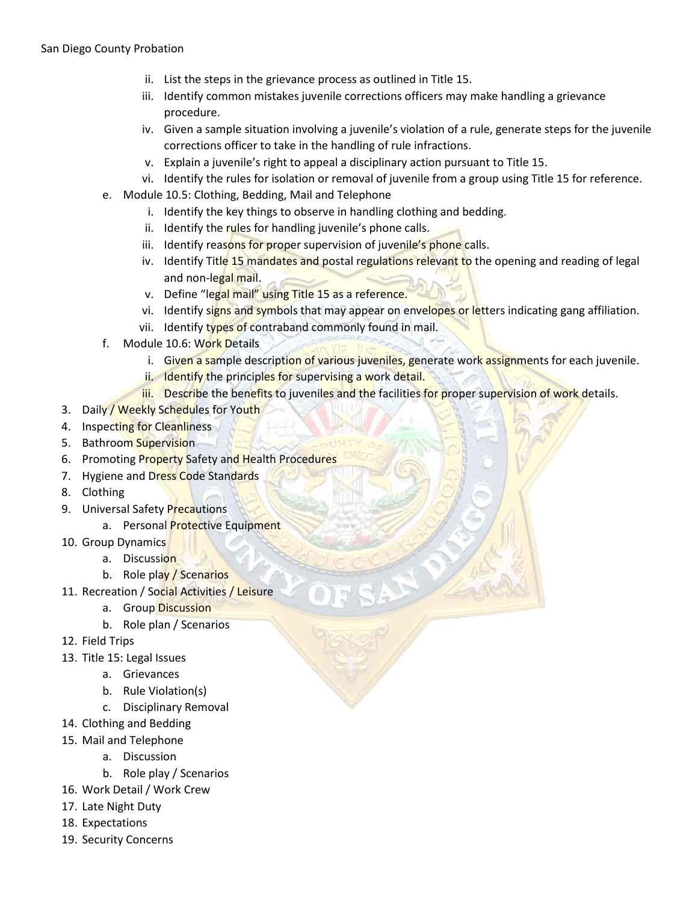- ii. List the steps in the grievance process as outlined in Title 15.
- iii. Identify common mistakes juvenile corrections officers may make handling a grievance procedure.
- iv. Given a sample situation involving a juvenile's violation of a rule, generate steps for the juvenile corrections officer to take in the handling of rule infractions.
- v. Explain a juvenile's right to appeal a disciplinary action pursuant to Title 15.
- vi. Identify the rules for isolation or removal of juvenile from a group using Title 15 for reference.
- e. Module 10.5: Clothing, Bedding, Mail and Telephone
	- i. Identify the key things to observe in handling clothing and bedding.
	- ii. Identify the rules for handling juvenile's phone calls.
	- iii. Identify reasons for proper supervision of juvenile's phone calls.
	- iv. Identify Title 15 mandates and postal regulations relevant to the opening and reading of legal and non-legal mail.
	- v. Define "legal mail" using Title 15 as a reference.
	- vi. Identify signs and symbols that may appear on envelopes or letters indicating gang affiliation.
	- vii. Identify types of contraband commonly found in mail.
- f. Module 10.6: Work Details
	- i. Given a sample description of various juveniles, generate work assignments for each juvenile.
	- ii. Identify the principles for supervising a work detail.
	- iii. Describe the benefits to juveniles and the facilities for proper supervision of work details.
- 3. Daily / Weekly Schedules for Youth
- 4. Inspecting for Cleanliness
- 5. Bathroom Supervision
- 6. Promoting Property Safety and Health Procedures
- 7. Hygiene and Dress Code Standards
- 8. Clothing
- 9. Universal Safety Precautions
	- a. Personal Protective Equipment
- 10. Group Dynamics
	- a. Discussion
	- b. Role play / Scenarios
- 11. Recreation / Social Activities / Leisure
	- a. Group Discussion
	- b. Role plan / Scenarios
- 12. Field Trips
- 13. Title 15: Legal Issues
	- a. Grievances
	- b. Rule Violation(s)
	- c. Disciplinary Removal
- 14. Clothing and Bedding
- 15. Mail and Telephone
	- a. Discussion
	- b. Role play / Scenarios
- 16. Work Detail / Work Crew
- 17. Late Night Duty
- 18. Expectations
- 19. Security Concerns